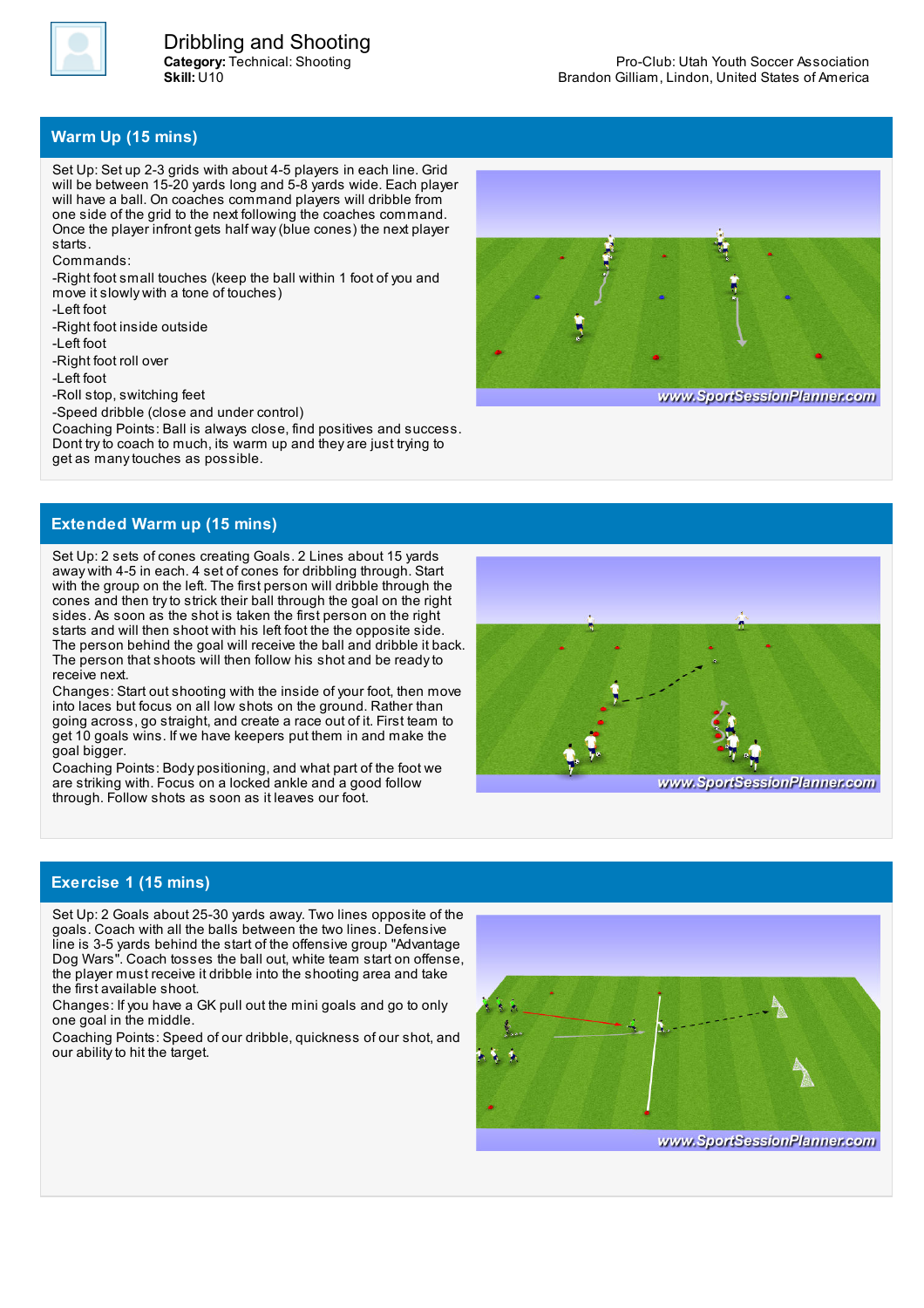

**Category:** Technical: Shooting **Skill:** U10 Dribbling and Shooting

## **Warm Up (15 mins)**

Set Up: Set up 2-3 grids with about 4-5 players in each line. Grid will be between 15-20 yards long and 5-8 yards wide. Each player will have a ball. On coaches command players will dribble from one side of the grid to the next following the coaches command. Once the player infront gets half way(blue cones) the next player starts.

Commands:

-Right foot small touches (keep the ball within 1 foot of you and move it slowly with a tone of touches)

-Left foot

-Right foot inside outside

-Left foot

-Right foot roll over

-Left foot

-Roll stop, switching feet

-Speed dribble (close and under control)

Coaching Points: Ball is always close, find positives and success. Dont tryto coach to much, its warm up and they are just trying to get as manytouches as possible.



www.SportSessionPlanner.com

## **Extended Warm up (15 mins)**

Set Up: 2 sets of cones creating Goals. 2 Lines about 15 yards away with 4-5 in each. 4 set of cones for dribbling through. Start with the group on the left. The first person will dribble through the cones and then tryto strick their ball through the goal on the right sides. As soon as the shot is taken the first person on the right starts and will then shoot with his left foot the the opposite side. The person behind the goal will receive the ball and dribble it back. The person that shoots will then follow his shot and be readyto receive next.

Changes: Start out shooting with the inside of your foot, then move into laces but focus on all low shots on the ground. Rather than going across, go straight, and create a race out of it. First team to get 10 goals wins. If we have keepers put them in and make the goal bigger.

Coaching Points: Body positioning, and what part of the foot we are striking with. Focus on a locked ankle and a good follow through. Follow shots as soon as it leaves our foot.



## **Exercise 1 (15 mins)**

Set Up: 2 Goals about 25-30 yards away. Two lines opposite of the goals. Coach with all the balls between the two lines. Defensive line is 3-5 yards behind the start of the offensive group "Advantage Dog Wars". Coach tosses the ball out, white team start on offense, the player must receive it dribble into the shooting area and take the first available shoot.

Changes: If you have a GK pull out the mini goals and go to only one goal in the middle.

Coaching Points: Speed of our dribble, quickness of our shot, and our ability to hit the target.



www.SportSessionPlanner.com